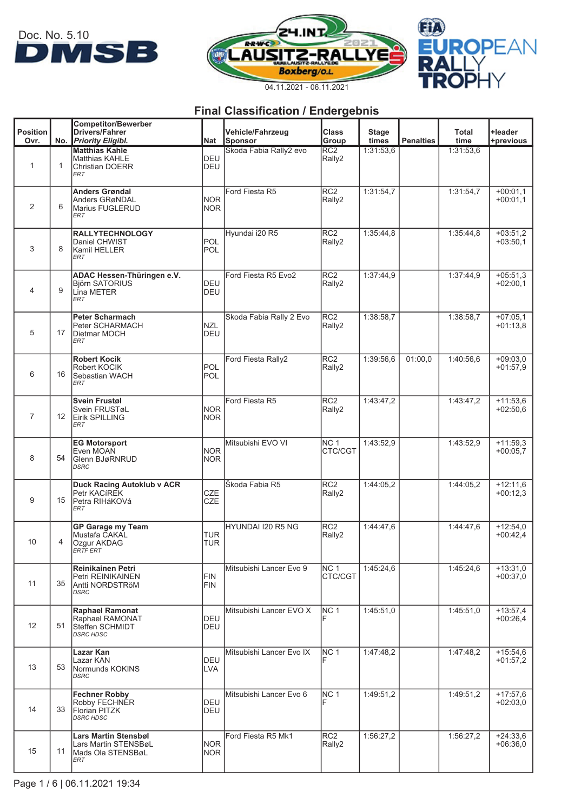





|                         |                   | <b>Competitor/Bewerber</b>                        |                          |                             |                           |                       |                  |               |                          |
|-------------------------|-------------------|---------------------------------------------------|--------------------------|-----------------------------|---------------------------|-----------------------|------------------|---------------|--------------------------|
| <b>Position</b><br>Ovr. |                   | <b>Drivers/Fahrer</b><br>No. Priority Eligibl.    | Nat                      | Vehicle/Fahrzeug<br>Sponsor | <b>Class</b><br>Group     | <b>Stage</b><br>times | <b>Penalties</b> | Total<br>time | +leader<br>+previous     |
|                         |                   | <b>Matthias Kahle</b>                             |                          | Skoda Fabia Rally2 evo      | RC <sub>2</sub>           | 1:31:53,6             |                  | 1:31:53,6     |                          |
| $\mathbf{1}$            | 1                 | Matthias KAHLE                                    | <b>I</b> DEU<br>DEU      |                             | Rally2                    |                       |                  |               |                          |
|                         |                   | <b>Christian DOERR</b><br><b>ERT</b>              |                          |                             |                           |                       |                  |               |                          |
|                         |                   | <b>Anders Grøndal</b>                             |                          | Ford Fiesta R5              | RC <sub>2</sub>           | 1:31:54,7             |                  | 1:31:54,7     | $+00:01.1$               |
|                         |                   | Anders GRøNDAL                                    | <b>NOR</b>               |                             | Rally2                    |                       |                  |               | $+00:01,1$               |
| 2                       | 6                 | Marius FUGLERUD<br><b>ERT</b>                     | <b>NOR</b>               |                             |                           |                       |                  |               |                          |
|                         |                   |                                                   |                          |                             |                           |                       |                  |               |                          |
|                         |                   | <b>RALLYTECHNOLOGY</b>                            |                          | Hyundai i20 R5              | RC <sub>2</sub>           | 1:35:44,8             |                  | 1:35:44,8     | $+03:51,2$               |
| 3                       | 8                 | Daniel CHWIST<br>Kamil HELLER                     | POL<br>POL               |                             | Rally2                    |                       |                  |               | $+03:50,1$               |
|                         |                   | ERT                                               |                          |                             |                           |                       |                  |               |                          |
|                         |                   | ADAC Hessen-Thüringen e.V.                        |                          | Ford Fiesta R5 Evo2         | RC2                       | 1:37:44,9             |                  | 1:37:44,9     | $+05:51,3$               |
|                         |                   | <b>Björn SATORIUS</b>                             | DEU                      |                             | Rally2                    |                       |                  |               | $+02:00,1$               |
| 4                       | 9                 | Lina METER<br><b>ERT</b>                          | DEU                      |                             |                           |                       |                  |               |                          |
|                         |                   |                                                   |                          |                             |                           |                       |                  |               |                          |
|                         |                   | <b>Peter Scharmach</b>                            |                          | Skoda Fabia Rally 2 Evo     | RC <sub>2</sub>           | 1:38:58.7             |                  | 1:38:58,7     | $+07:05,1$               |
| 5                       | 17                | Peter SCHARMACH<br><b>Dietmar MOCH</b>            | <b>NZL</b><br>DEU        |                             | Rally2                    |                       |                  |               | $+01:13,8$               |
|                         |                   | <b>ERT</b>                                        |                          |                             |                           |                       |                  |               |                          |
|                         |                   | <b>Robert Kocik</b>                               |                          | Ford Fiesta Rally2          | RC <sub>2</sub>           | 1:39:56.6             | 01:00.0          | 1:40:56.6     | $+09:03.0$               |
|                         |                   | Robert KOCIK                                      | IPOL                     |                             | Rally2                    |                       |                  |               | $+01:57,9$               |
| 6                       | 16                | Sebastian WACH<br>ERT                             | POL                      |                             |                           |                       |                  |               |                          |
|                         |                   |                                                   |                          |                             |                           |                       |                  |               |                          |
|                         |                   | <b>Svein Frustøl</b><br>Svein FRUSTøL             | <b>NOR</b>               | Ford Fiesta R5              | RC2<br>Rally2             | 1:43:47,2             |                  | 1:43:47,2     | $+11:53.6$<br>$+02:50,6$ |
| $\overline{7}$          | $12 \overline{ }$ | Eirik SPILLING                                    | <b>NOR</b>               |                             |                           |                       |                  |               |                          |
|                         |                   | ERT                                               |                          |                             |                           |                       |                  |               |                          |
|                         |                   | <b>EG Motorsport</b>                              |                          | Mitsubishi EVO VI           | NC <sub>1</sub>           | 1:43:52,9             |                  | 1:43:52,9     | $+11:59,3$               |
| 8                       | 54                | Even MOAN                                         | <b>NOR</b>               |                             | CTC/CGT                   |                       |                  |               | $+00:05,7$               |
|                         |                   | Glenn BJøRNRUD<br>DSRC                            | <b>NOR</b>               |                             |                           |                       |                  |               |                          |
|                         |                   |                                                   |                          |                             |                           |                       |                  |               |                          |
|                         |                   | <b>Duck Racing Autoklub v ACR</b><br>Petr KACIREK | CZE                      | Škoda Fabia R5              | RC <sub>2</sub><br>Rally2 | 1:44:05,2             |                  | 1:44:05,2     | $+12:11.6$<br>$+00:12.3$ |
| 9                       | 15                | Petra RIHáKOVá                                    | <b>CZE</b>               |                             |                           |                       |                  |               |                          |
|                         |                   | <b>ERT</b>                                        |                          |                             |                           |                       |                  |               |                          |
|                         |                   | <b>GP Garage my Team</b>                          |                          | HYUNDAI I20 R5 NG           | RC <sub>2</sub>           | 1:44:47.6             |                  | 1:44:47.6     | $+12:54.0$               |
| 10                      | 4                 | Mustafa CAKAL<br>Ozgur AKDAG                      | <b>TUR</b><br><b>TUR</b> |                             | Rally2                    |                       |                  |               | $+00:42,4$               |
|                         |                   | ERTF ERT                                          |                          |                             |                           |                       |                  |               |                          |
|                         |                   | <b>Reinikainen Petri</b>                          |                          | Mitsubishi Lancer Evo 9     | NC <sub>1</sub>           | 1:45:24,6             |                  | 1:45:24,6     | $+13:31.0$               |
|                         |                   | Petri REINIKAINEN                                 | FIN                      |                             | CTC/CGT                   |                       |                  |               | $+00:37.0$               |
| 11                      | 35                | Antti NORDSTRöM<br><b>DSRC</b>                    | <b>FIN</b>               |                             |                           |                       |                  |               |                          |
|                         |                   |                                                   |                          |                             |                           |                       |                  |               |                          |
|                         |                   | <b>Raphael Ramonat</b>                            |                          | Mitsubishi Lancer EVO X     | NC <sub>1</sub>           | 1:45:51,0             |                  | 1:45:51,0     | $+13:57,4$               |
| 12                      | 51                | Raphael RAMONAT<br>Steffen SCHMIDT                | DEU<br>DEU               |                             |                           |                       |                  |               | $+00:26,4$               |
|                         |                   | <b>DSRC HDSC</b>                                  |                          |                             |                           |                       |                  |               |                          |
|                         |                   | Lazar Kan                                         |                          | Mitsubishi Lancer Evo IX    | NC <sub>1</sub>           | 1:47:48.2             |                  | 1:47:48.2     | $+15:54,6$               |
|                         |                   | Lazar KAN                                         | DEU                      |                             |                           |                       |                  |               | $+01:57,2$               |
| 13                      | 53                | Normunds KOKINS<br><b>DSRC</b>                    | LVA                      |                             |                           |                       |                  |               |                          |
|                         |                   |                                                   |                          |                             |                           |                       |                  |               |                          |
|                         |                   | <b>Fechner Robby</b><br>Robby FECHNER             | DEU                      | Mitsubishi Lancer Evo 6     | NC <sub>1</sub>           | 1:49:51,2             |                  | 1:49:51,2     | $+17:57,6$<br>$+02:03,0$ |
| 14                      | 33                | Florian PITZK                                     | DEU                      |                             |                           |                       |                  |               |                          |
|                         |                   | <b>DSRC HDSC</b>                                  |                          |                             |                           |                       |                  |               |                          |
|                         |                   | Lars Martin Stensbøl                              |                          | Ford Fiesta R5 Mk1          | RC <sub>2</sub>           | 1:56:27,2             |                  | 1:56:27,2     | $+24:33,6$               |
| 15                      |                   | Lars Martin STENSBøL                              | <b>NOR</b>               |                             | Rally2                    |                       |                  |               | $+06:36,0$               |
|                         | 11                | lMads Ola STENSBøL<br>ERT                         | <b>NOR</b>               |                             |                           |                       |                  |               |                          |
|                         |                   |                                                   |                          |                             |                           |                       |                  |               |                          |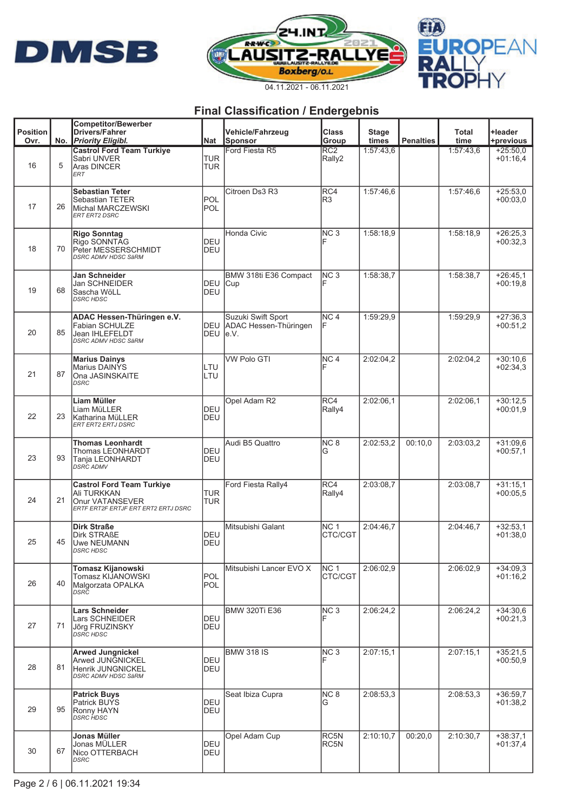





|                         |     | <b>Competitor/Bewerber</b>                                                                                 |                          |                                                      |                            |                       |                  |               |                          |
|-------------------------|-----|------------------------------------------------------------------------------------------------------------|--------------------------|------------------------------------------------------|----------------------------|-----------------------|------------------|---------------|--------------------------|
| <b>Position</b><br>Ovr. | No. | <b>Drivers/Fahrer</b><br><b>Priority Eligibl.</b>                                                          | Nat                      | Vehicle/Fahrzeug<br>Sponsor                          | <b>Class</b><br>Group      | <b>Stage</b><br>times | <b>Penalties</b> | Total<br>time | +leader<br>+previous     |
| 16                      | 5   | <b>Castrol Ford Team Turkiye</b><br>Sabri UNVER<br><b>Aras DINCER</b><br><b>ERT</b>                        | <b>TUR</b><br><b>TUR</b> | Ford Fiesta R5                                       | RC2<br>Rally2              | 1:57:43,6             |                  | 1:57:43,6     | $+25:50.0$<br>$+01:16,4$ |
| 17                      | 26  | <b>Sebastian Teter</b><br>Sebastian TETER<br>Michal MARCZEWSKI<br><b>ERT ERT2 DSRC</b>                     | IPOL<br><b>POL</b>       | Citroen Ds3 R3                                       | RC4<br>R <sub>3</sub>      | 1:57:46.6             |                  | 1:57:46.6     | $+25:53.0$<br>$+00:03.0$ |
| 18                      | 70  | <b>Rigo Sonntag</b><br>Rigo SONNTAG<br>Peter MESSERSCHMIDT<br><b>DSRC ADMV HDSC SäRM</b>                   | DEU<br>DEU               | Honda Civic                                          | NC <sub>3</sub>            | 1:58:18,9             |                  | 1:58:18,9     | $+26:25.3$<br>$+00:32.3$ |
| 19                      | 68  | Jan Schneider<br>Jan SCHNEIDER<br>Sascha WöLL<br><b>DSRC HDSC</b>                                          | <b>DEU</b><br>DEU        | BMW 318ti E36 Compact<br>Cup                         | NC <sub>3</sub>            | 1:58:38.7             |                  | 1:58:38.7     | $+26:45.1$<br>$+00:19.8$ |
| 20                      | 85  | ADAC Hessen-Thüringen e.V.<br><b>Fabian SCHULZE</b><br><b>Jean IHLEFELDT</b><br><b>DSRC ADMV HDSC SäRM</b> | DEU<br><b>DEU</b>        | Suzuki Swift Sport<br>ADAC Hessen-Thüringen<br>le.V. | NC <sub>4</sub><br>F       | 1:59:29,9             |                  | 1:59:29,9     | $+27:36.3$<br>$+00:51,2$ |
| 21                      | 87  | <b>Marius Dainys</b><br>Marius DAINYS<br>Ona JASINSKAITE<br><b>DSRC</b>                                    | ILTU<br>LTU              | <b>VW Polo GTI</b>                                   | NC <sub>4</sub>            | 2:02:04,2             |                  | 2:02:04,2     | $+30:10,6$<br>$+02:34.3$ |
| 22                      | 23  | <b>Liam Müller</b><br>Liam MüLLER<br>lKatharina MüLLER<br>ERT ERT2 ERTJ DSRC                               | DEU<br>DEU               | Opel Adam R2                                         | RC4<br>Rally4              | 2:02:06.1             |                  | 2:02:06.1     | $+30:12.5$<br>$+00:01,9$ |
| 23                      | 93  | <b>Thomas Leonhardt</b><br>Thomas LEONHARDT<br>Tanja LEONHARDT<br><b>DSRC ADMV</b>                         | DEU<br>DEU               | Audi B5 Quattro                                      | NC <sub>8</sub><br>G       | 2:02:53,2             | 00:10,0          | 2:03:03.2     | $+31:09.6$<br>$+00:57,1$ |
| 24                      | 21  | <b>Castrol Ford Team Turkiye</b><br>Ali TURKKAN<br>Onur VATANSEVER<br>ERTF ERT2F ERTJF ERT ERT2 ERTJ DSRC  | <b>TUR</b><br><b>TUR</b> | Ford Fiesta Rally4                                   | RC4<br>Rally4              | 2:03:08.7             |                  | 2:03:08.7     | $+31:15.1$<br>$+00:05,5$ |
| 25                      | 45  | <b>Dirk Straße</b><br>Dirk STRAßE<br>Uwe NEUMANN<br>DSRC HDSC                                              | DEU<br>DEU               | Mitsubishi Galant                                    | NC <sub>1</sub><br>CTC/CGT | 2:04:46.7             |                  | 2:04:46.7     | $+32:53,1$<br>$+01:38.0$ |
| 26                      | 40  | Tomasz Kijanowski<br>Tomasz KIJANOWSKI<br>Malgorzata OPALKA<br>DSRC                                        | POL<br>POL               | Mitsubishi Lancer EVO X                              | NC <sub>1</sub><br>CTC/CGT | 2:06:02.9             |                  | 2:06:02,9     | $+34:09.3$<br>$+01:16,2$ |
| 27                      | 71  | <b>Lars Schneider</b><br>Lars SCHNEIDER<br>Jõrg FRUZINSKY<br><b>DSRC HDSC</b>                              | DEU<br>DEU               | <b>BMW 320Ti E36</b>                                 | NC <sub>3</sub>            | 2:06:24,2             |                  | 2:06:24,2     | $+34:30.6$<br>$+00:21.3$ |
| 28                      | 81  | <b>Arwed Jungnickel</b><br>Arwed JUNGNICKEL<br>Henrik JUNGNICKEL<br><b>DSRC ADMV HDSC SäRM</b>             | DEU<br>DEU               | <b>BMW 318 IS</b>                                    | NC <sub>3</sub>            | 2:07:15,1             |                  | 2:07:15.1     | $+35:21.5$<br>$+00:50.9$ |
| 29                      | 95  | <b>Patrick Buys</b><br>Patrick BUYS<br>Ronny HAYN<br><b>DSRC HDSC</b>                                      | DEU<br>DEU               | Seat Ibiza Cupra                                     | NC <sub>8</sub><br>G       | 2:08:53,3             |                  | 2:08:53.3     | $+36:59.7$<br>$+01:38,2$ |
| 30                      | 67  | Jonas Müller<br>Jonas MÜLLER<br>Nico OTTERBACH<br><b>DSRC</b>                                              | DEU<br>DEU               | Opel Adam Cup                                        | RC5N<br>RC5N               | 2:10:10.7             | 00:20,0          | 2:10:30.7     | $+38:37.1$<br>$+01:37,4$ |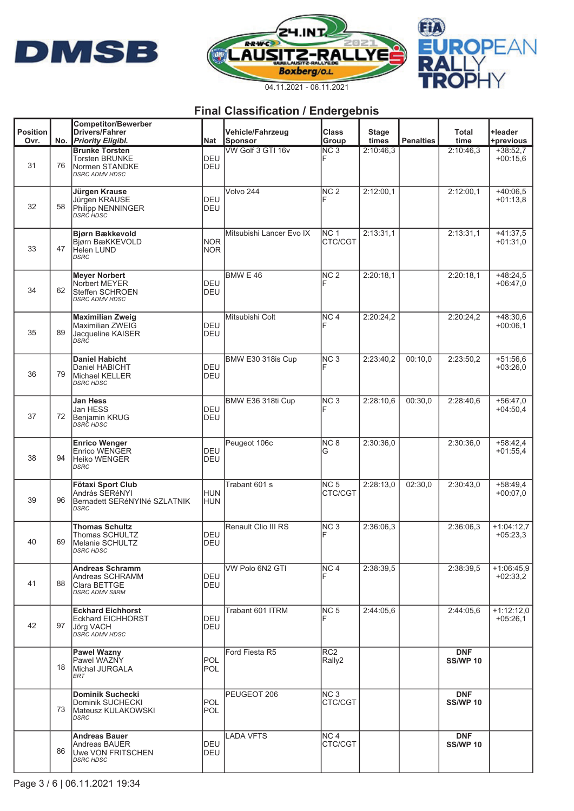





|                         |     | <b>Competitor/Bewerber</b>                                                                |                          |                                           |                            |                       |                  |                               |                            |
|-------------------------|-----|-------------------------------------------------------------------------------------------|--------------------------|-------------------------------------------|----------------------------|-----------------------|------------------|-------------------------------|----------------------------|
| <b>Position</b><br>Ovr. | No. | <b>Drivers/Fahrer</b><br><b>Priority Eligibl.</b>                                         | Nat                      | <b>Vehicle/Fahrzeug</b><br><b>Sponsor</b> | <b>Class</b><br>Group      | <b>Stage</b><br>times | <b>Penalties</b> | <b>Total</b><br>time          | +leader<br>+previous       |
| 31                      | 76  | <b>Brunke Torsten</b><br><b>Torsten BRUNKE</b><br>Normen STANDKE<br><b>DSRC ADMV HDSC</b> | <b>DEU</b><br>DEU        | VW Golf 3 GTI 16v                         | $\overline{\text{NC }3}$   | 2:10:46.3             |                  | 2:10:46,3                     | $+38:52.7$<br>$+00:15.6$   |
| 32                      | 58  | Jürgen Krause<br>Jürgen KRAUSE<br>Philipp NENNINGER<br>DSRC HDSC                          | <b>DEU</b><br><b>DEU</b> | Volvo 244                                 | NC <sub>2</sub>            | 2:12:00,1             |                  | 2:12:00.1                     | $+40:06,5$<br>$+01:13.8$   |
| 33                      | 47  | <b>Biørn Bækkevold</b><br>Biørn BæKKEVOLD<br><b>Helen LUND</b><br><b>DSRC</b>             | <b>NOR</b><br><b>NOR</b> | Mitsubishi Lancer Evo IX                  | <b>NC 1</b><br>CTC/CGT     | 2:13:31.1             |                  | 2:13:31.1                     | $+41:37.5$<br>$+01:31.0$   |
| 34                      | 62  | <b>Meyer Norbert</b><br>Norbert MEYER<br>Steffen SCHROEN<br><b>DSRC ADMV HDSC</b>         | DEU<br>DEU               | <b>BMW E 46</b>                           | NC <sub>2</sub>            | 2:20:18,1             |                  | 2:20:18.1                     | $+48:24.5$<br>$+06:47.0$   |
| 35                      | 89  | <b>Maximilian Zweig</b><br><b>Maximilian ZWEIG</b><br>Jacqueline KAISER<br>DSRC           | DEU<br>DEU               | Mitsubishi Colt                           | NC <sub>4</sub>            | 2:20:24,2             |                  | 2:20:24,2                     | $+48:30,6$<br>$+00:06,1$   |
| 36                      | 79  | <b>Daniel Habicht</b><br>Daniel HABICHT<br>Michael KELLER<br><b>DSRC HDSC</b>             | DEU<br><b>DEU</b>        | BMW E30 318is Cup                         | NC <sub>3</sub>            | 2:23:40,2             | 00:10,0          | 2:23:50,2                     | $+51:56,6$<br>$+03:26.0$   |
| 37                      | 72  | Jan Hess<br>Jan HESS<br>Benjamin KRUG<br>DSRC HDSC                                        | DEU<br>DEU               | BMW E36 318ti Cup                         | NC <sub>3</sub>            | 2:28:10,6             | 00:30,0          | 2:28:40,6                     | $+56:47.0$<br>$+04:50,4$   |
| 38                      | 94  | <b>Enrico Wenger</b><br><b>Enrico WENGER</b><br>Heiko WENGER<br><b>DSRC</b>               | DEU<br>DEU               | Peugeot 106c                              | NC <sub>8</sub><br>G       | 2:30:36,0             |                  | 2:30:36,0                     | $+58:42,4$<br>$+01:55,4$   |
| 39                      | 96  | Fötaxi Sport Club<br>András SERéNYI<br>Bernadett SERéNYINé SZLATNIK<br><b>DSRC</b>        | <b>HUN</b><br>HUN        | Trabant 601 s                             | NC <sub>5</sub><br>CTC/CGT | 2:28:13,0             | 02:30,0          | 2:30:43.0                     | $+58:49.4$<br>$+00:07,0$   |
| 40                      | 69  | <b>Thomas Schultz</b><br>Thomas SCHULTZ<br>Melanie SCHULTZ<br>DSRC HDSC                   | DEU<br>DEU               | Renault Clio III RS                       | NC <sub>3</sub>            | 2:36:06.3             |                  | 2:36:06.3                     | $+1:04:12,7$<br>$+05:23.3$ |
| 41                      | 88  | <b>Andreas Schramm</b><br>Andreas SCHRAMM<br>Clara BETTGE<br><b>DSRC ADMV SäRM</b>        | DEU<br>DEU               | VW Polo 6N2 GTI                           | NC <sub>4</sub>            | 2:38:39.5             |                  | 2:38:39.5                     | $+1:06:45.9$<br>$+02:33.2$ |
| 42                      | 97  | <b>Eckhard Eichhorst</b><br><b>Eckhard EICHHORST</b><br>Jörg VACH<br>DSRC ADMV HDSC       | DEU<br><b>DEU</b>        | Trabant 601 ITRM                          | NC <sub>5</sub>            | 2:44:05.6             |                  | 2:44:05.6                     | $+1:12:12.0$<br>$+05:26,1$ |
|                         | 18  | <b>Pawel Wazny</b><br>Pawel WAZNY<br>Michal JURGALA<br><b>ERT</b>                         | POL<br><b>POL</b>        | Ford Fiesta R5                            | RC <sub>2</sub><br>Rally2  |                       |                  | <b>DNF</b><br><b>SS/WP 10</b> |                            |
|                         | 73  | Dominik Suchecki<br>Dominik SUCHECKI<br>Mateusz KULAKOWSKI<br><b>DSRC</b>                 | POL<br><b>POL</b>        | PEUGEOT 206                               | NC <sub>3</sub><br>CTC/CGT |                       |                  | <b>DNF</b><br><b>SS/WP 10</b> |                            |
|                         | 86  | <b>Andreas Bauer</b><br>Andreas BAUER<br>Uwe VON FRITSCHEN<br><b>DSRC HDSC</b>            | DEU<br>DEU               | LADA VFTS                                 | NC 4<br>CTC/CGT            |                       |                  | <b>DNF</b><br><b>SS/WP 10</b> |                            |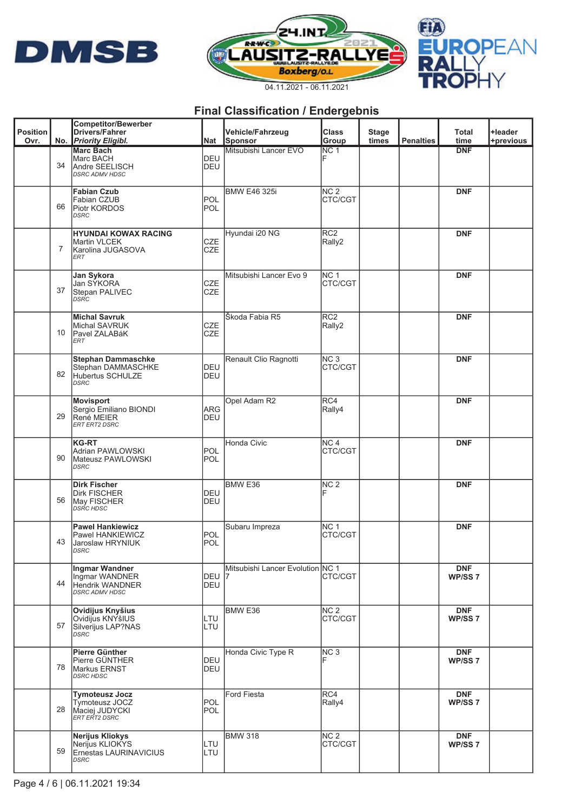





| <b>Position</b><br>Ovr. |    | Competitor/Bewerber<br><b>Drivers/Fahrer</b><br>No. Priority Eligibl.               | Nat                      | Vehicle/Fahrzeug<br>Sponsor      | <b>Class</b><br>Group      | <b>Stage</b><br>times | <b>Penalties</b> | <b>Total</b><br>time             | +leader<br>+previous |
|-------------------------|----|-------------------------------------------------------------------------------------|--------------------------|----------------------------------|----------------------------|-----------------------|------------------|----------------------------------|----------------------|
|                         | 34 | <b>Marc Bach</b><br>Marc BACH<br>Andre SEELISCH<br><b>DSRC ADMV HDSC</b>            | <b>DEU</b><br><b>DEU</b> | Mitsubishi Lancer EVO            | NC <sub>1</sub>            |                       |                  | <b>DNF</b>                       |                      |
|                         | 66 | <b>Fabian Czub</b><br>Fabian CZUB<br>Piotr KORDOS<br><b>DSRC</b>                    | <b>POL</b><br><b>POL</b> | <b>BMW E46 325i</b>              | NC <sub>2</sub><br>CTC/CGT |                       |                  | <b>DNF</b>                       |                      |
|                         | 7  | <b>HYUNDAI KOWAX RACING</b><br>Martin VLCEK<br>lKarolina JUGASOVA<br><b>ERT</b>     | <b>CZE</b><br><b>CZE</b> | Hyundai i20 NG                   | RC <sub>2</sub><br>Rally2  |                       |                  | <b>DNF</b>                       |                      |
|                         | 37 | Jan Sykora<br>Jan SYKORA<br>Stepan PALIVEC<br><b>DSRC</b>                           | <b>CZE</b><br><b>CZE</b> | Mitsubishi Lancer Evo 9          | NC <sub>1</sub><br>CTC/CGT |                       |                  | <b>DNF</b>                       |                      |
|                         | 10 | <b>Michal Savruk</b><br>Michal SAVRUK<br>Pavel ZALABáK<br><b>ERT</b>                | <b>CZE</b><br><b>CZE</b> | Škoda Fabia R5                   | RC <sub>2</sub><br>Rally2  |                       |                  | <b>DNF</b>                       |                      |
|                         | 82 | <b>Stephan Dammaschke</b><br>Stephan DAMMASCHKE<br>Hubertus SCHULZE<br><b>DSRC</b>  | DEU<br>DEU               | Renault Clio Ragnotti            | NC <sub>3</sub><br>CTC/CGT |                       |                  | <b>DNF</b>                       |                      |
|                         | 29 | Movisport<br>Sergio Emiliano BIONDI<br>René MEIER<br><b>ERT ERT2 DSRC</b>           | ARG<br>DEU               | Opel Adam R2                     | RC4<br>Rally4              |                       |                  | <b>DNF</b>                       |                      |
|                         | 90 | KG-RT<br>Adrian PAWLOWSKI<br>Mateusz PAWLOWSKI<br><b>DSRC</b>                       | <b>POL</b><br><b>POL</b> | Honda Civic                      | NC <sub>4</sub><br>CTC/CGT |                       |                  | <b>DNF</b>                       |                      |
|                         | 56 | <b>Dirk Fischer</b><br><b>Dirk FISCHER</b><br>May FISCHER<br><i>DSRC HDSC</i>       | DEU<br><b>DEU</b>        | BMW <sub>E36</sub>               | NC <sub>2</sub>            |                       |                  | <b>DNF</b>                       |                      |
|                         | 43 | <b>Pawel Hankiewicz</b><br>Pawel HANKIEWICZ<br>Jaroslaw HRYNIUK<br>DSRC             | <b>POL</b><br><b>POL</b> | Subaru Impreza                   | NC <sub>1</sub><br>CTC/CGT |                       |                  | <b>DNF</b>                       |                      |
|                         | 44 | Ingmar Wandner<br>Ingmar WANDNER<br><b>Hendrik WANDNER</b><br><b>DSRC ADMV HDSC</b> | DEU 7<br>DEU             | Mitsubishi Lancer Evolution NC 1 | CTC/CGT                    |                       |                  | <b>DNF</b><br>WP/SS <sub>7</sub> |                      |
|                         | 57 | Ovidijus Knyšius<br>Ovidijus KNYšIUS<br>Silverijus LAP?NAS<br><b>DSRC</b>           | LTU<br>LTU               | BMW <sub>E36</sub>               | NC <sub>2</sub><br>CTC/CGT |                       |                  | <b>DNF</b><br>WP/SS <sub>7</sub> |                      |
|                         | 78 | Pierre Günther<br>Pierre GÜNTHER<br>Markus ERNST<br><b>DSRC HDSC</b>                | <b>DEU</b><br>DEU        | Honda Civic Type R               | NC <sub>3</sub>            |                       |                  | <b>DNF</b><br>WP/SS <sub>7</sub> |                      |
|                         | 28 | <b>Tymoteusz Jocz</b><br>Tymoteusz JOCZ<br>Maciej JUDYCKI<br>ERT ERT2 DSRC          | <b>POL</b><br><b>POL</b> | <b>Ford Fiesta</b>               | RC4<br>Rally4              |                       |                  | <b>DNF</b><br>WP/SS <sub>7</sub> |                      |
|                         | 59 | Nerijus Kliokys<br>Nerijus KLIOKYS<br>Ernestas LAURINAVICIUS<br><b>DSRC</b>         | LTU<br>LTU               | <b>BMW 318</b>                   | NC <sub>2</sub><br>CTC/CGT |                       |                  | <b>DNF</b><br>WP/SS <sub>7</sub> |                      |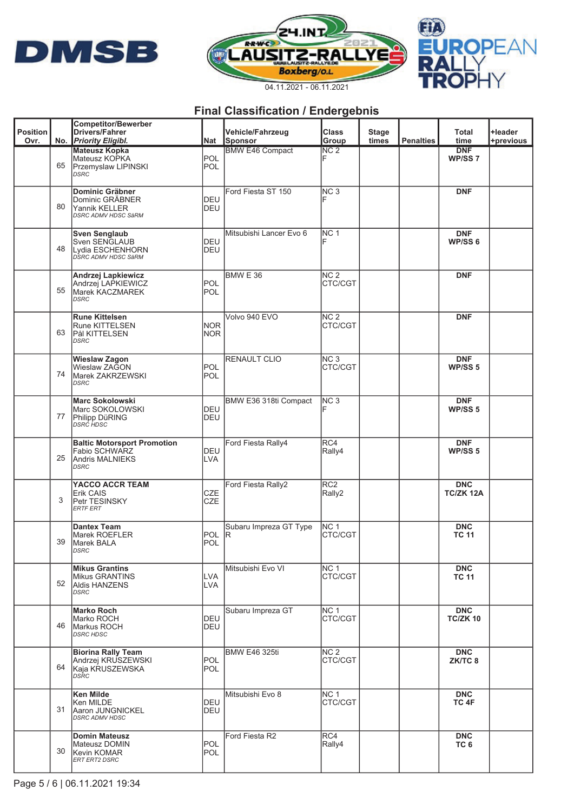





| <b>Position</b> |    | <b>Competitor/Bewerber</b><br><b>Drivers/Fahrer</b>                                          |                          | Vehicle/Fahrzeug              | <b>Class</b>                  | <b>Stage</b> |                  | Total                            | <b>+leader</b> |
|-----------------|----|----------------------------------------------------------------------------------------------|--------------------------|-------------------------------|-------------------------------|--------------|------------------|----------------------------------|----------------|
| Ovr.            |    | No. Priority Eligibl.                                                                        | Nat                      | Sponsor                       | Group                         | times        | <b>Penalties</b> | time                             | +previous      |
|                 | 65 | <b>Mateusz Kopka</b><br>Mateusz KOPKA<br>Przemyslaw LIPINSKI<br><b>DSRC</b>                  | POL<br>POL               | <b>BMW E46 Compact</b>        | $\overline{\text{NC }2}$<br>F |              |                  | <b>DNF</b><br>WP/SS <sub>7</sub> |                |
|                 | 80 | Dominic Gräbner<br>Dominic GRÄBNER<br>Yannik KELLER<br>DSRC ADMV HDSC SäRM                   | DEU<br>DEU               | Ford Fiesta ST 150            | NC <sub>3</sub>               |              |                  | <b>DNF</b>                       |                |
|                 | 48 | <b>Sven Senglaub</b><br>Sven SENGLAUB<br>Lydia ESCHENHORN<br>DSRC ADMV HDSC SäRM             | <b>DEU</b><br>DEU        | Mitsubishi Lancer Evo 6       | NC <sub>1</sub>               |              |                  | <b>DNF</b><br>WP/SS <sub>6</sub> |                |
|                 | 55 | Andrzej Lapkiewicz<br>Andrzej LAPKIEWICZ<br>Marek KACZMAREK<br><b>DSRC</b>                   | POL<br><b>POL</b>        | BMW E 36                      | NC <sub>2</sub><br>CTC/CGT    |              |                  | <b>DNF</b>                       |                |
|                 | 63 | <b>Rune Kittelsen</b><br><b>Rune KITTELSEN</b><br>Pål KITTELSEN<br>DSRC                      | <b>NOR</b><br><b>NOR</b> | Volvo 940 EVO                 | NC <sub>2</sub><br>CTC/CGT    |              |                  | <b>DNF</b>                       |                |
|                 | 74 | <b>Wieslaw Zagon</b><br>Wieslaw ZAGON<br>Marek ZAKRZEWSKI<br>DSRC                            | POL<br><b>POL</b>        | <b>RENAULT CLIO</b>           | NC <sub>3</sub><br>CTC/CGT    |              |                  | <b>DNF</b><br>WP/SS <sub>5</sub> |                |
|                 | 77 | <b>Marc Sokolowski</b><br>Marc SOKOLOWSKI<br>Philipp DüRING<br><b>DSRC HDSC</b>              | <b>DEU</b><br>DEU        | BMW E36 318ti Compact         | NC <sub>3</sub>               |              |                  | <b>DNF</b><br>WP/SS <sub>5</sub> |                |
|                 | 25 | <b>Baltic Motorsport Promotion</b><br>Fabio SCHWARZ<br><b>Andris MALNIEKS</b><br><b>DSRC</b> | DEU<br><b>LVA</b>        | Ford Fiesta Rally4            | RC4<br>Rally4                 |              |                  | <b>DNF</b><br>WP/SS <sub>5</sub> |                |
|                 | 3  | YACCO ACCR TEAM<br>Erik CAIS<br>Petr TESINSKY<br><b>ERTF ERT</b>                             | CZE<br><b>CZE</b>        | Ford Fiesta Rally2            | RC <sub>2</sub><br>Rally2     |              |                  | <b>DNC</b><br>TC/ZK 12A          |                |
|                 | 39 | <b>Dantex Team</b><br>Marek ROEFLER<br>Marek BALA<br>DSRC                                    | <b>POL</b><br><b>POL</b> | Subaru Impreza GT Type<br>lR. | NC <sub>1</sub><br>CTC/CGT    |              |                  | <b>DNC</b><br><b>TC 11</b>       |                |
|                 | 52 | <b>Mikus Grantins</b><br><b>Mikus GRANTINS</b><br><b>Aldis HANZENS</b><br>DSRC               | <b>LVA</b><br>LVA        | Mitsubishi Evo VI             | NC <sub>1</sub><br>CTC/CGT    |              |                  | <b>DNC</b><br><b>TC 11</b>       |                |
|                 | 46 | <b>Marko Roch</b><br>Marko ROCH<br>Markus ROCH<br><b>DSRC HDSC</b>                           | DEU<br>DEU               | Subaru Impreza GT             | NC <sub>1</sub><br>CTC/CGT    |              |                  | <b>DNC</b><br><b>TC/ZK 10</b>    |                |
|                 | 64 | <b>Biorina Rally Team</b><br>Andrzei KRUSZEWSKI<br>Kaia KRUSZEWSKA<br>DSRC                   | POL<br><b>POL</b>        | <b>BMW E46 325ti</b>          | NC <sub>2</sub><br>CTC/CGT    |              |                  | <b>DNC</b><br>ZK/TC 8            |                |
|                 | 31 | Ken Milde<br>Ken MILDE<br>Aaron JUNGNICKEL<br><b>DSRC ADMV HDSC</b>                          | DEU<br>DEU               | Mitsubishi Evo 8              | NC <sub>1</sub><br>CTC/CGT    |              |                  | <b>DNC</b><br>TC 4F              |                |
|                 | 30 | <b>Domin Mateusz</b><br>Mateusz DOMIN<br><b>Kevin KOMAR</b><br>ERT ERT2 DSRC                 | <b>POL</b><br><b>POL</b> | Ford Fiesta R2                | RC4<br>Rally4                 |              |                  | <b>DNC</b><br>TC <sub>6</sub>    |                |